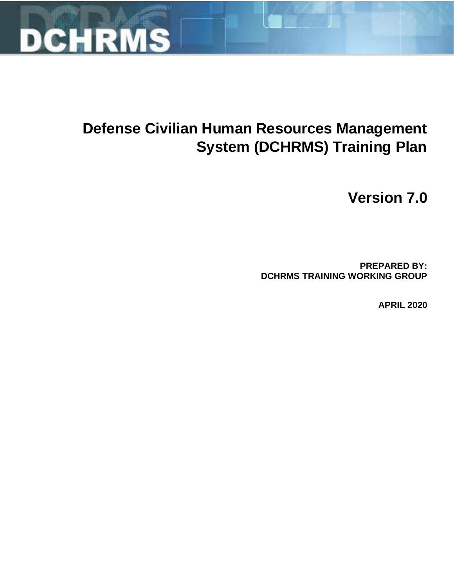

# Defense Civilian Human Resources Management **System (DCHRMS) Training Plan**

**Version 7.0** 

**PREPARED BY:** DCHRMS TRAINING WORKING GROUP

**APRIL 2020**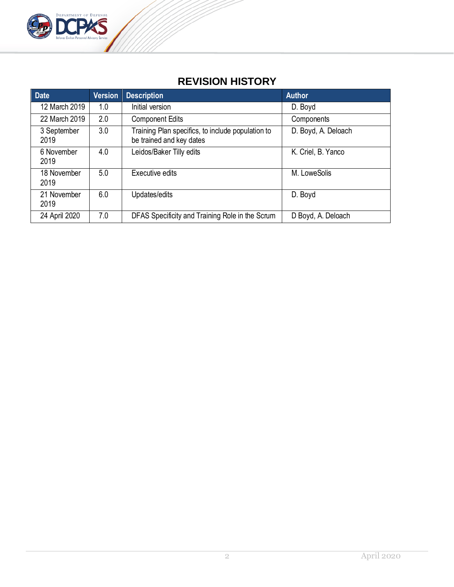

# **REVISION HISTORY**

| <b>Date</b>         | <b>Version</b> | <b>Description</b>                                                            | <b>Author</b>       |
|---------------------|----------------|-------------------------------------------------------------------------------|---------------------|
| 12 March 2019       | 1.0            | Initial version                                                               | D. Boyd             |
| 22 March 2019       | 2.0            | <b>Component Edits</b>                                                        | Components          |
| 3 September<br>2019 | 3.0            | Training Plan specifics, to include population to<br>be trained and key dates | D. Boyd, A. Deloach |
| 6 November<br>2019  | 4.0            | Leidos/Baker Tilly edits                                                      | K. Criel, B. Yanco  |
| 18 November<br>2019 | 5.0            | Executive edits                                                               | M. LoweSolis        |
| 21 November<br>2019 | 6.0            | Updates/edits                                                                 | D. Boyd             |
| 24 April 2020       | 7.0            | DFAS Specificity and Training Role in the Scrum                               | D Boyd, A. Deloach  |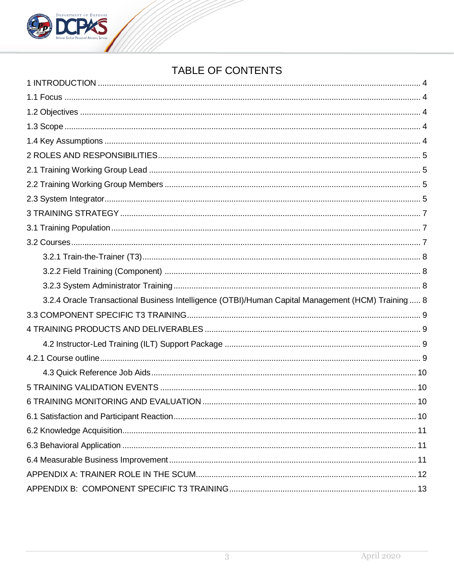

# TABLE OF CONTENTS

| 3.2.4 Oracle Transactional Business Intelligence (OTBI)/Human Capital Management (HCM) Training  8 |
|----------------------------------------------------------------------------------------------------|
|                                                                                                    |
|                                                                                                    |
|                                                                                                    |
|                                                                                                    |
|                                                                                                    |
|                                                                                                    |
|                                                                                                    |
|                                                                                                    |
|                                                                                                    |
|                                                                                                    |
|                                                                                                    |
|                                                                                                    |
|                                                                                                    |
|                                                                                                    |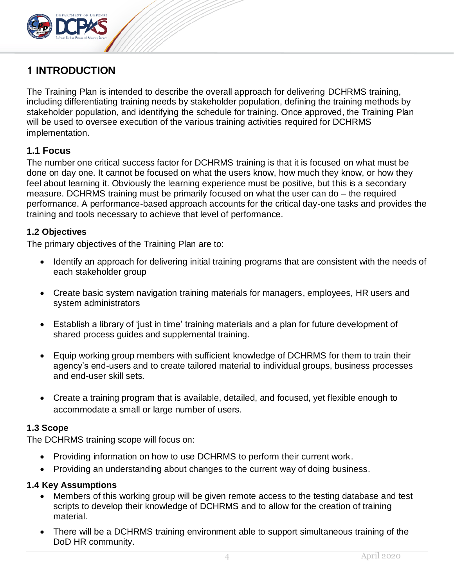

# <span id="page-3-0"></span>**1 INTRODUCTION**

The Training Plan is intended to describe the overall approach for delivering DCHRMS training, including differentiating training needs by stakeholder population, defining the training methods by stakeholder population, and identifying the schedule for training. Once approved, the Training Plan will be used to oversee execution of the various training activities required for DCHRMS implementation.

### <span id="page-3-1"></span>**1.1 Focus**

The number one critical success factor for DCHRMS training is that it is focused on what must be done on day one. It cannot be focused on what the users know, how much they know, or how they feel about learning it. Obviously the learning experience must be positive, but this is a secondary measure. DCHRMS training must be primarily focused on what the user can do – the required performance. A performance-based approach accounts for the critical day-one tasks and provides the training and tools necessary to achieve that level of performance.

#### <span id="page-3-2"></span>**1.2 Objectives**

The primary objectives of the Training Plan are to:

- Identify an approach for delivering initial training programs that are consistent with the needs of each stakeholder group
- Create basic system navigation training materials for managers, employees, HR users and system administrators
- Establish a library of 'just in time' training materials and a plan for future development of shared process guides and supplemental training.
- Equip working group members with sufficient knowledge of DCHRMS for them to train their agency's end-users and to create tailored material to individual groups, business processes and end-user skill sets.
- Create a training program that is available, detailed, and focused, yet flexible enough to accommodate a small or large number of users.

#### <span id="page-3-3"></span>**1.3 Scope**

The DCHRMS training scope will focus on:

- Providing information on how to use DCHRMS to perform their current work.
- Providing an understanding about changes to the current way of doing business.

#### <span id="page-3-4"></span>**1.4 Key Assumptions**

- Members of this working group will be given remote access to the testing database and test scripts to develop their knowledge of DCHRMS and to allow for the creation of training material.
- There will be a DCHRMS training environment able to support simultaneous training of the DoD HR community.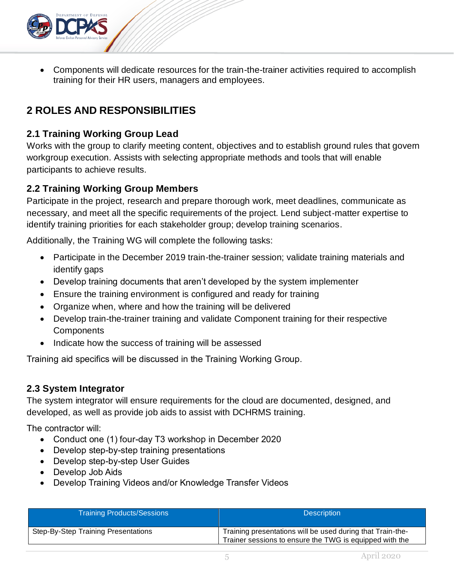

• Components will dedicate resources for the train-the-trainer activities required to accomplish training for their HR users, managers and employees.

# <span id="page-4-0"></span>**2 ROLES AND RESPONSIBILITIES**

# <span id="page-4-1"></span>**2.1 Training Working Group Lead**

Works with the group to clarify meeting content, objectives and to establish ground rules that govern workgroup execution. Assists with selecting appropriate methods and tools that will enable participants to achieve results.

# <span id="page-4-2"></span>**2.2 Training Working Group Members**

Participate in the project, research and prepare thorough work, meet deadlines, communicate as necessary, and meet all the specific requirements of the project. Lend subject‐matter expertise to identify training priorities for each stakeholder group; develop training scenarios.

Additionally, the Training WG will complete the following tasks:

- Participate in the December 2019 train-the-trainer session; validate training materials and identify gaps
- Develop training documents that aren't developed by the system implementer
- Ensure the training environment is configured and ready for training
- Organize when, where and how the training will be delivered
- Develop train-the-trainer training and validate Component training for their respective **Components**
- Indicate how the success of training will be assessed

Training aid specifics will be discussed in the Training Working Group.

### <span id="page-4-3"></span>**2.3 System Integrator**

The system integrator will ensure requirements for the cloud are documented, designed, and developed, as well as provide job aids to assist with DCHRMS training.

The contractor will:

- Conduct one (1) four-day T3 workshop in December 2020
- Develop step-by-step training presentations
- Develop step-by-step User Guides
- Develop Job Aids
- Develop Training Videos and/or Knowledge Transfer Videos

| <b>Training Products/Sessions</b>   | <b>Description</b>                                                                                                    |
|-------------------------------------|-----------------------------------------------------------------------------------------------------------------------|
| Step-By-Step Training Presentations | Training presentations will be used during that Train-the-<br>Trainer sessions to ensure the TWG is equipped with the |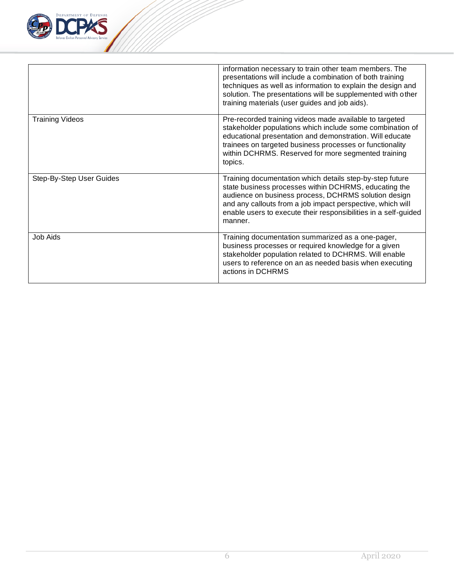

|                          | information necessary to train other team members. The<br>presentations will include a combination of both training<br>techniques as well as information to explain the design and<br>solution. The presentations will be supplemented with other<br>training materials (user guides and job aids).                   |
|--------------------------|-----------------------------------------------------------------------------------------------------------------------------------------------------------------------------------------------------------------------------------------------------------------------------------------------------------------------|
| <b>Training Videos</b>   | Pre-recorded training videos made available to targeted<br>stakeholder populations which include some combination of<br>educational presentation and demonstration. Will educate<br>trainees on targeted business processes or functionality<br>within DCHRMS. Reserved for more segmented training<br>topics.        |
| Step-By-Step User Guides | Training documentation which details step-by-step future<br>state business processes within DCHRMS, educating the<br>audience on business process, DCHRMS solution design<br>and any callouts from a job impact perspective, which will<br>enable users to execute their responsibilities in a self-guided<br>manner. |
| Job Aids                 | Training documentation summarized as a one-pager,<br>business processes or required knowledge for a given<br>stakeholder population related to DCHRMS. Will enable<br>users to reference on an as needed basis when executing<br>actions in DCHRMS                                                                    |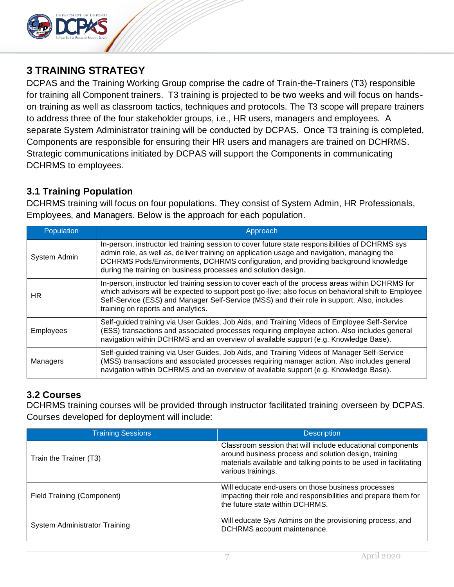

# <span id="page-6-0"></span>**3 TRAINING STRATEGY**

DCPAS and the Training Working Group comprise the cadre of Train-the-Trainers (T3) responsible for training all Component trainers. T3 training is projected to be two weeks and will focus on handson training as well as classroom tactics, techniques and protocols. The T3 scope will prepare trainers to address three of the four stakeholder groups, i.e., HR users, managers and employees. A separate System Administrator training will be conducted by DCPAS. Once T3 training is completed, Components are responsible for ensuring their HR users and managers are trained on DCHRMS. Strategic communications initiated by DCPAS will support the Components in communicating DCHRMS to employees.

# <span id="page-6-1"></span>**3.1 Training Population**

DCHRMS training will focus on four populations. They consist of System Admin, HR Professionals, Employees, and Managers. Below is the approach for each population.

| Population       | Approach                                                                                                                                                                                                                                                                                                                                              |
|------------------|-------------------------------------------------------------------------------------------------------------------------------------------------------------------------------------------------------------------------------------------------------------------------------------------------------------------------------------------------------|
| System Admin     | In-person, instructor led training session to cover future state responsibilities of DCHRMS sys<br>admin role, as well as, deliver training on application usage and navigation, managing the<br>DCHRMS Pods/Environments, DCHRMS configuration, and providing background knowledge<br>during the training on business processes and solution design. |
| HR.              | In-person, instructor led training session to cover each of the process areas within DCHRMS for<br>which advisors will be expected to support post go-live; also focus on behavioral shift to Employee<br>Self-Service (ESS) and Manager Self-Service (MSS) and their role in support. Also, includes<br>training on reports and analytics.           |
| <b>Employees</b> | Self-guided training via User Guides, Job Aids, and Training Videos of Employee Self-Service<br>(ESS) transactions and associated processes requiring employee action. Also includes general<br>navigation within DCHRMS and an overview of available support (e.g. Knowledge Base).                                                                  |
| Managers         | Self-guided training via User Guides, Job Aids, and Training Videos of Manager Self-Service<br>(MSS) transactions and associated processes requiring manager action. Also includes general<br>navigation within DCHRMS and an overview of available support (e.g. Knowledge Base).                                                                    |

# <span id="page-6-2"></span>**3.2 Courses**

DCHRMS training courses will be provided through instructor facilitated training overseen by DCPAS. Courses developed for deployment will include:

| <b>Training Sessions</b>      | <b>Description</b>                                                                                                                                                                                             |  |  |  |  |
|-------------------------------|----------------------------------------------------------------------------------------------------------------------------------------------------------------------------------------------------------------|--|--|--|--|
| Train the Trainer (T3)        | Classroom session that will include educational components<br>around business process and solution design, training<br>materials available and talking points to be used in facilitating<br>various trainings. |  |  |  |  |
| Field Training (Component)    | Will educate end-users on those business processes<br>impacting their role and responsibilities and prepare them for<br>the future state within DCHRMS.                                                        |  |  |  |  |
| System Administrator Training | Will educate Sys Admins on the provisioning process, and<br>DCHRMS account maintenance.                                                                                                                        |  |  |  |  |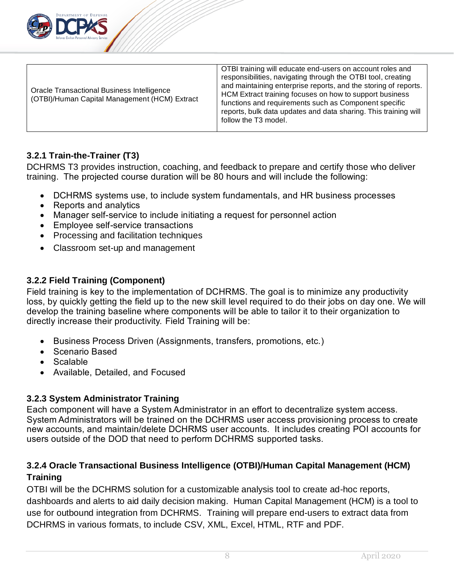

| <b>Oracle Transactional Business Intelligence</b><br>(OTBI)/Human Capital Management (HCM) Extract | OTBI training will educate end-users on account roles and<br>responsibilities, navigating through the OTBI tool, creating<br>and maintaining enterprise reports, and the storing of reports.<br>HCM Extract training focuses on how to support business<br>functions and requirements such as Component specific<br>reports, bulk data updates and data sharing. This training will<br>follow the T3 model. |
|----------------------------------------------------------------------------------------------------|-------------------------------------------------------------------------------------------------------------------------------------------------------------------------------------------------------------------------------------------------------------------------------------------------------------------------------------------------------------------------------------------------------------|
|----------------------------------------------------------------------------------------------------|-------------------------------------------------------------------------------------------------------------------------------------------------------------------------------------------------------------------------------------------------------------------------------------------------------------------------------------------------------------------------------------------------------------|

### <span id="page-7-0"></span>**3.2.1 Train-the-Trainer (T3)**

DCHRMS T3 provides instruction, coaching, and feedback to prepare and certify those who deliver training. The projected course duration will be 80 hours and will include the following:

- DCHRMS systems use, to include system fundamentals, and HR business processes
- Reports and analytics
- Manager self-service to include initiating a request for personnel action
- Employee self-service transactions
- Processing and facilitation techniques
- Classroom set-up and management

### <span id="page-7-1"></span>**3.2.2 Field Training (Component)**

Field training is key to the implementation of DCHRMS. The goal is to minimize any productivity loss, by quickly getting the field up to the new skill level required to do their jobs on day one. We will develop the training baseline where components will be able to tailor it to their organization to directly increase their productivity. Field Training will be:

- Business Process Driven (Assignments, transfers, promotions, etc.)
- Scenario Based
- Scalable
- Available, Detailed, and Focused

### <span id="page-7-2"></span>**3.2.3 System Administrator Training**

Each component will have a System Administrator in an effort to decentralize system access. System Administrators will be trained on the DCHRMS user access provisioning process to create new accounts, and maintain/delete DCHRMS user accounts. It includes creating POI accounts for users outside of the DOD that need to perform DCHRMS supported tasks.

# <span id="page-7-3"></span>**3.2.4 Oracle Transactional Business Intelligence (OTBI)/Human Capital Management (HCM) Training**

OTBI will be the DCHRMS solution for a customizable analysis tool to create ad-hoc reports, dashboards and alerts to aid daily decision making. Human Capital Management (HCM) is a tool to use for outbound integration from DCHRMS. Training will prepare end-users to extract data from DCHRMS in various formats, to include CSV, XML, Excel, HTML, RTF and PDF.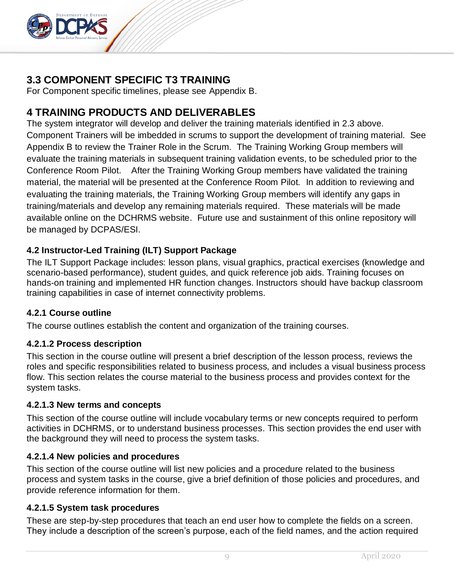

# <span id="page-8-0"></span>**3.3 COMPONENT SPECIFIC T3 TRAINING**

For Component specific timelines, please see Appendix B.

# <span id="page-8-1"></span>**4 TRAINING PRODUCTS AND DELIVERABLES**

The system integrator will develop and deliver the training materials identified in 2.3 above. Component Trainers will be imbedded in scrums to support the development of training material. See Appendix B to review the Trainer Role in the Scrum. The Training Working Group members will evaluate the training materials in subsequent training validation events, to be scheduled prior to the Conference Room Pilot. After the Training Working Group members have validated the training material, the material will be presented at the Conference Room Pilot. In addition to reviewing and evaluating the training materials, the Training Working Group members will identify any gaps in training/materials and develop any remaining materials required. These materials will be made available online on the DCHRMS website. Future use and sustainment of this online repository will be managed by DCPAS/ESI.

### <span id="page-8-2"></span>**4.2 Instructor-Led Training (ILT) Support Package**

The ILT Support Package includes: lesson plans, visual graphics, practical exercises (knowledge and scenario-based performance), student guides, and quick reference job aids. Training focuses on hands-on training and implemented HR function changes. Instructors should have backup classroom training capabilities in case of internet connectivity problems.

#### <span id="page-8-3"></span>**4.2.1 Course outline**

The course outlines establish the content and organization of the training courses.

#### **4.2.1.2 Process description**

This section in the course outline will present a brief description of the lesson process, reviews the roles and specific responsibilities related to business process, and includes a visual business process flow. This section relates the course material to the business process and provides context for the system tasks.

#### **4.2.1.3 New terms and concepts**

This section of the course outline will include vocabulary terms or new concepts required to perform activities in DCHRMS, or to understand business processes. This section provides the end user with the background they will need to process the system tasks.

#### **4.2.1.4 New policies and procedures**

This section of the course outline will list new policies and a procedure related to the business process and system tasks in the course, give a brief definition of those policies and procedures, and provide reference information for them.

#### **4.2.1.5 System task procedures**

These are step-by-step procedures that teach an end user how to complete the fields on a screen. They include a description of the screen's purpose, each of the field names, and the action required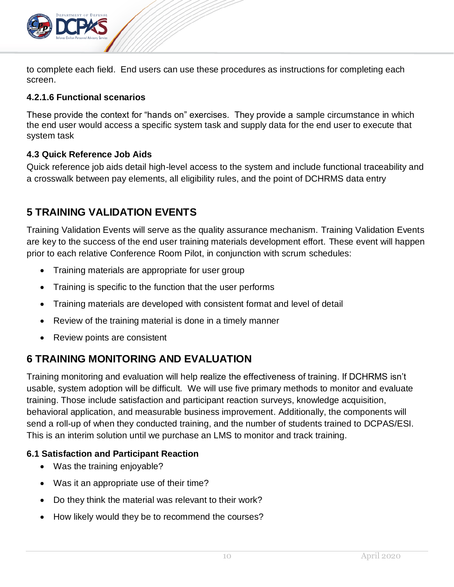

to complete each field. End users can use these procedures as instructions for completing each screen.

#### **4.2.1.6 Functional scenarios**

These provide the context for "hands on" exercises. They provide a sample circumstance in which the end user would access a specific system task and supply data for the end user to execute that system task

### <span id="page-9-0"></span>**4.3 Quick Reference Job Aids**

Quick reference job aids detail high-level access to the system and include functional traceability and a crosswalk between pay elements, all eligibility rules, and the point of DCHRMS data entry

# <span id="page-9-1"></span>**5 TRAINING VALIDATION EVENTS**

Training Validation Events will serve as the quality assurance mechanism. Training Validation Events are key to the success of the end user training materials development effort. These event will happen prior to each relative Conference Room Pilot, in conjunction with scrum schedules:

- Training materials are appropriate for user group
- Training is specific to the function that the user performs
- Training materials are developed with consistent format and level of detail
- Review of the training material is done in a timely manner
- Review points are consistent

# <span id="page-9-2"></span>**6 TRAINING MONITORING AND EVALUATION**

Training monitoring and evaluation will help realize the effectiveness of training. If DCHRMS isn't usable, system adoption will be difficult. We will use five primary methods to monitor and evaluate training. Those include satisfaction and participant reaction surveys, knowledge acquisition, behavioral application, and measurable business improvement. Additionally, the components will send a roll-up of when they conducted training, and the number of students trained to DCPAS/ESI. This is an interim solution until we purchase an LMS to monitor and track training.

### <span id="page-9-3"></span>**6.1 Satisfaction and Participant Reaction**

- Was the training enjoyable?
- Was it an appropriate use of their time?
- Do they think the material was relevant to their work?
- How likely would they be to recommend the courses?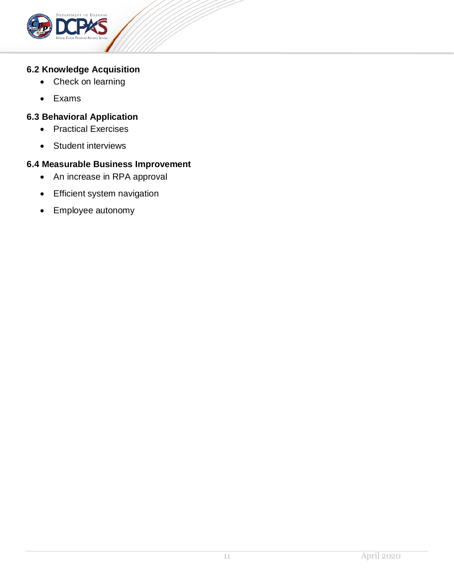

#### <span id="page-10-0"></span>**6.2 Knowledge Acquisition**

- Check on learning
- Exams

### <span id="page-10-1"></span>**6.3 Behavioral Application**

- Practical Exercises
- Student interviews

### <span id="page-10-2"></span>**6.4 Measurable Business Improvement**

- An increase in RPA approval
- Efficient system navigation
- Employee autonomy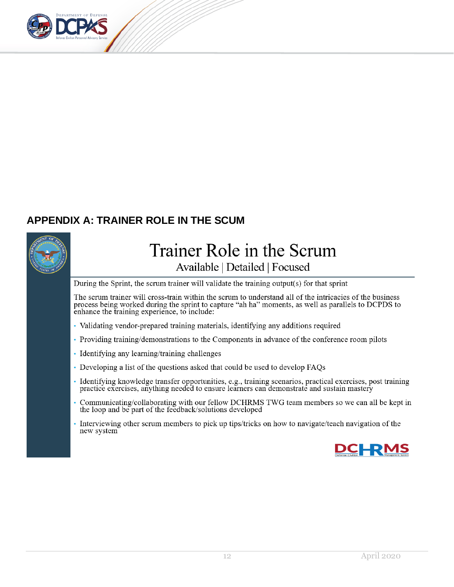

# <span id="page-11-0"></span>**APPENDIX A: TRAINER ROLE IN THE SCUM**



# Trainer Role in the Scrum Available | Detailed | Focused

During the Sprint, the scrum trainer will validate the training output(s) for that sprint

The scrum trainer will cross-train within the scrum to understand all of the intricacies of the business process being worked during the sprint to capture "ah ha" moments, as well as parallels to DCPDS to enhance the training experience, to include:

- Validating vendor-prepared training materials, identifying any additions required
- Providing training/demonstrations to the Components in advance of the conference room pilots
- Identifying any learning/training challenges
- Developing a list of the questions asked that could be used to develop FAQs
- · Identifying knowledge transfer opportunities, e.g., training scenarios, practical exercises, post training practice exercises, anything needed to ensure learners can demonstrate and sustain mastery
- Communicating/collaborating with our fellow DCHRMS TWG team members so we can all be kept in the loop and be part of the feedback/solutions developed
- Interviewing other scrum members to pick up tips/tricks on how to navigate/teach navigation of the new system

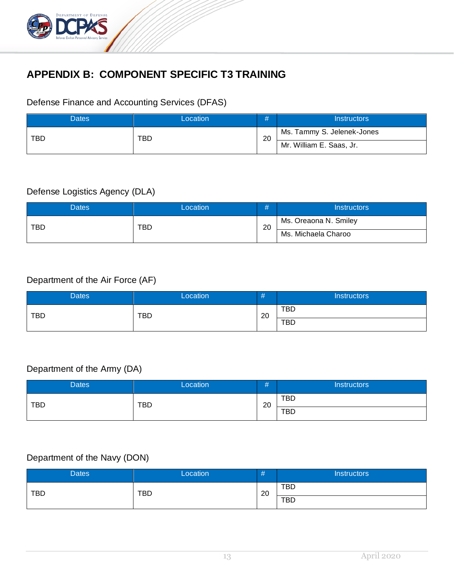

# <span id="page-12-0"></span>**APPENDIX B: COMPONENT SPECIFIC T3 TRAINING**

# Defense Finance and Accounting Services (DFAS)

| Dates      | Location |    | <b>Instructors</b>         |
|------------|----------|----|----------------------------|
| <b>TBD</b> | TBD      | 20 | Ms. Tammy S. Jelenek-Jones |
|            |          |    | Mr. William E. Saas, Jr.   |

### Defense Logistics Agency (DLA)

| Dates.     | Location |    | Instructors           |  |
|------------|----------|----|-----------------------|--|
| <b>TBD</b> | TBD      | 20 | Ms. Oreaona N. Smiley |  |
|            |          |    | Ms. Michaela Charoo   |  |

# Department of the Air Force (AF)

| <b>Dates</b> | Location   | #  | <b>Instructors</b> |
|--------------|------------|----|--------------------|
| <b>TBD</b>   | <b>TBD</b> | 20 | <b>TBD</b>         |
|              |            |    | <b>TBD</b>         |

# Department of the Army (DA)

| Dates      | Location   | . .<br>Ħ | <b>Instructors</b> |
|------------|------------|----------|--------------------|
| <b>TBD</b> | <b>TBD</b> | 20       | <b>TBD</b>         |
|            |            |          | <b>TBD</b>         |

### Department of the Navy (DON)

| <b>Dates</b> | Location   | #  | <b>Instructors</b> |
|--------------|------------|----|--------------------|
| <b>TBD</b>   | <b>TBD</b> | 20 | TBD                |
|              |            |    | <b>TBD</b>         |